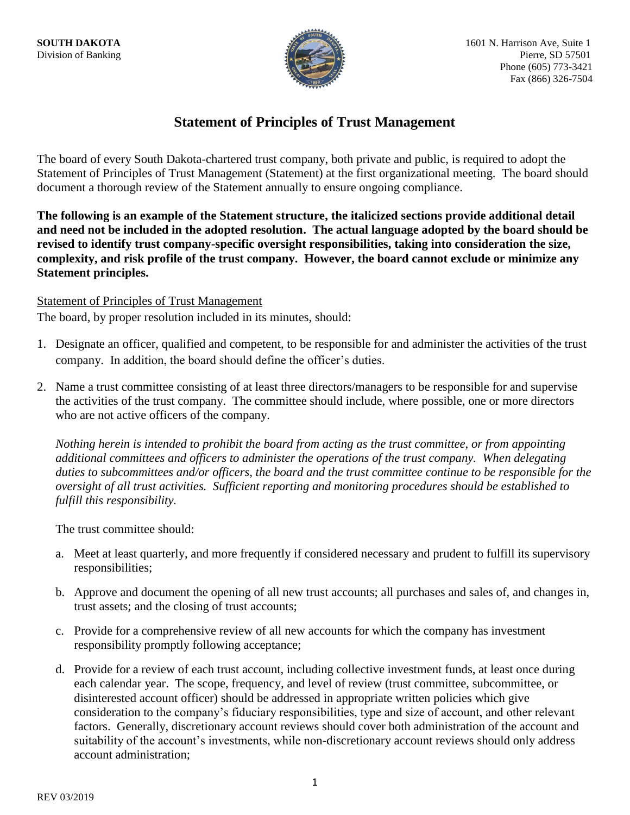

## **Statement of Principles of Trust Management**

The board of every South Dakota-chartered trust company, both private and public, is required to adopt the Statement of Principles of Trust Management (Statement) at the first organizational meeting. The board should document a thorough review of the Statement annually to ensure ongoing compliance.

**The following is an example of the Statement structure, the italicized sections provide additional detail and need not be included in the adopted resolution. The actual language adopted by the board should be revised to identify trust company-specific oversight responsibilities, taking into consideration the size, complexity, and risk profile of the trust company. However, the board cannot exclude or minimize any Statement principles.**

## Statement of Principles of Trust Management

The board, by proper resolution included in its minutes, should:

- 1. Designate an officer, qualified and competent, to be responsible for and administer the activities of the trust company. In addition, the board should define the officer's duties.
- 2. Name a trust committee consisting of at least three directors/managers to be responsible for and supervise the activities of the trust company. The committee should include, where possible, one or more directors who are not active officers of the company.

*Nothing herein is intended to prohibit the board from acting as the trust committee, or from appointing additional committees and officers to administer the operations of the trust company. When delegating duties to subcommittees and/or officers, the board and the trust committee continue to be responsible for the oversight of all trust activities. Sufficient reporting and monitoring procedures should be established to fulfill this responsibility.*

The trust committee should:

- a. Meet at least quarterly, and more frequently if considered necessary and prudent to fulfill its supervisory responsibilities;
- b. Approve and document the opening of all new trust accounts; all purchases and sales of, and changes in, trust assets; and the closing of trust accounts;
- c. Provide for a comprehensive review of all new accounts for which the company has investment responsibility promptly following acceptance;
- d. Provide for a review of each trust account, including collective investment funds, at least once during each calendar year. The scope, frequency, and level of review (trust committee, subcommittee, or disinterested account officer) should be addressed in appropriate written policies which give consideration to the company's fiduciary responsibilities, type and size of account, and other relevant factors. Generally, discretionary account reviews should cover both administration of the account and suitability of the account's investments, while non-discretionary account reviews should only address account administration;